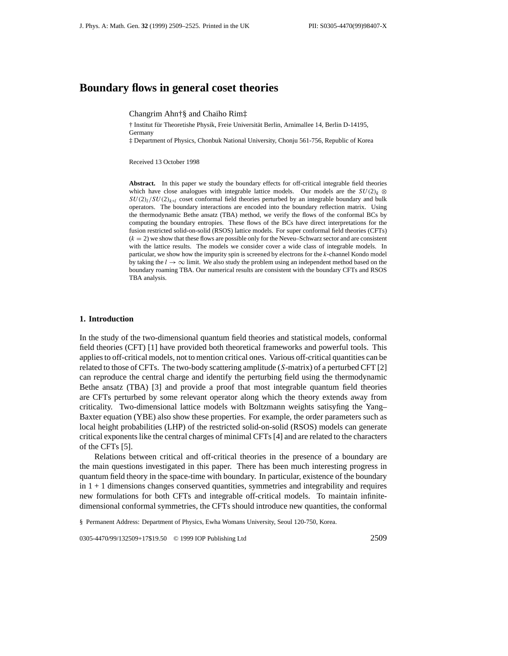# **Boundary flows in general coset theories**

Changrim Ahn†§ and Chaiho Rim‡

† Institut für Theoretishe Physik, Freie Universität Berlin, Arnimallee 14, Berlin D-14195, Germany

‡ Department of Physics, Chonbuk National University, Chonju 561-756, Republic of Korea

Received 13 October 1998

**Abstract.** In this paper we study the boundary effects for off-critical integrable field theories which have close analogues with integrable lattice models. Our models are the  $SU(2)_k$  ⊗  $SU(2)_l/SU(2)_{k+l}$  coset conformal field theories perturbed by an integrable boundary and bulk operators. The boundary interactions are encoded into the boundary reflection matrix. Using the thermodynamic Bethe ansatz (TBA) method, we verify the flows of the conformal BCs by computing the boundary entropies. These flows of the BCs have direct interpretations for the fusion restricted solid-on-solid (RSOS) lattice models. For super conformal field theories (CFTs)  $(k = 2)$  we show that these flows are possible only for the Neveu–Schwarz sector and are consistent with the lattice results. The models we consider cover a wide class of integrable models. In particular, we show how the impurity spin is screened by electrons for the *k*-channel Kondo model by taking the  $l \to \infty$  limit. We also study the problem using an independent method based on the boundary roaming TBA. Our numerical results are consistent with the boundary CFTs and RSOS TBA analysis.

### **1. Introduction**

In the study of the two-dimensional quantum field theories and statistical models, conformal field theories (CFT) [1] have provided both theoretical frameworks and powerful tools. This applies to off-critical models, not to mention critical ones. Various off-critical quantities can be related to those of CFTs. The two-body scattering amplitude (*S*-matrix) of a perturbed CFT [2] can reproduce the central charge and identify the perturbing field using the thermodynamic Bethe ansatz (TBA) [3] and provide a proof that most integrable quantum field theories are CFTs perturbed by some relevant operator along which the theory extends away from criticality. Two-dimensional lattice models with Boltzmann weights satisyfing the Yang– Baxter equation (YBE) also show these properties. For example, the order parameters such as local height probabilities (LHP) of the restricted solid-on-solid (RSOS) models can generate critical exponents like the central charges of minimal CFTs [4] and are related to the characters of the CFTs [5].

Relations between critical and off-critical theories in the presence of a boundary are the main questions investigated in this paper. There has been much interesting progress in quantum field theory in the space-time with boundary. In particular, existence of the boundary  $in 1 + 1$  dimensions changes conserved quantities, symmetries and integrability and requires new formulations for both CFTs and integrable off-critical models. To maintain infinitedimensional conformal symmetries, the CFTs should introduce new quantities, the conformal

§ Permanent Address: Department of Physics, Ewha Womans University, Seoul 120-750, Korea.

0305-4470/99/132509+17\$19.50 © 1999 IOP Publishing Ltd 2509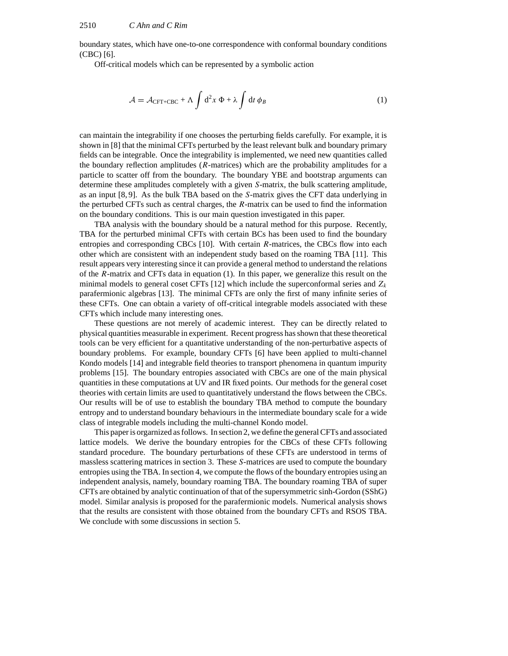boundary states, which have one-to-one correspondence with conformal boundary conditions (CBC) [6].

Off-critical models which can be represented by a symbolic action

$$
\mathcal{A} = \mathcal{A}_{\text{CFT}+\text{CBC}} + \Lambda \int d^2 x \, \Phi + \lambda \int dt \, \phi_B \tag{1}
$$

can maintain the integrability if one chooses the perturbing fields carefully. For example, it is shown in [8] that the minimal CFTs perturbed by the least relevant bulk and boundary primary fields can be integrable. Once the integrability is implemented, we need new quantities called the boundary reflection amplitudes (*R*-matrices) which are the probability amplitudes for a particle to scatter off from the boundary. The boundary YBE and bootstrap arguments can determine these amplitudes completely with a given *S*-matrix, the bulk scattering amplitude, as an input [8, 9]. As the bulk TBA based on the *S*-matrix gives the CFT data underlying in the perturbed CFTs such as central charges, the *R*-matrix can be used to find the information on the boundary conditions. This is our main question investigated in this paper.

TBA analysis with the boundary should be a natural method for this purpose. Recently, TBA for the perturbed minimal CFTs with certain BCs has been used to find the boundary entropies and corresponding CBCs [10]. With certain *R*-matrices, the CBCs flow into each other which are consistent with an independent study based on the roaming TBA [11]. This result appears very interesting since it can provide a general method to understand the relations of the *R*-matrix and CFTs data in equation (1). In this paper, we generalize this result on the minimal models to general coset CFTs [12] which include the superconformal series and  $Z_k$ parafermionic algebras [13]. The minimal CFTs are only the first of many infinite series of these CFTs. One can obtain a variety of off-critical integrable models associated with these CFTs which include many interesting ones.

These questions are not merely of academic interest. They can be directly related to physical quantities measurable in experiment. Recent progress has shown that these theoretical tools can be very efficient for a quantitative understanding of the non-perturbative aspects of boundary problems. For example, boundary CFTs [6] have been applied to multi-channel Kondo models [14] and integrable field theories to transport phenomena in quantum impurity problems [15]. The boundary entropies associated with CBCs are one of the main physical quantities in these computations at UV and IR fixed points. Our methods for the general coset theories with certain limits are used to quantitatively understand the flows between the CBCs. Our results will be of use to establish the boundary TBA method to compute the boundary entropy and to understand boundary behaviours in the intermediate boundary scale for a wide class of integrable models including the multi-channel Kondo model.

This paper is orgarnized as follows. In section 2, we define the general CFTs and associated lattice models. We derive the boundary entropies for the CBCs of these CFTs following standard procedure. The boundary perturbations of these CFTs are understood in terms of massless scattering matrices in section 3. These *S*-matrices are used to compute the boundary entropies using the TBA. In section 4, we compute the flows of the boundary entropies using an independent analysis, namely, boundary roaming TBA. The boundary roaming TBA of super CFTs are obtained by analytic continuation of that of the supersymmetric sinh-Gordon (SShG) model. Similar analysis is proposed for the parafermionic models. Numerical analysis shows that the results are consistent with those obtained from the boundary CFTs and RSOS TBA. We conclude with some discussions in section 5.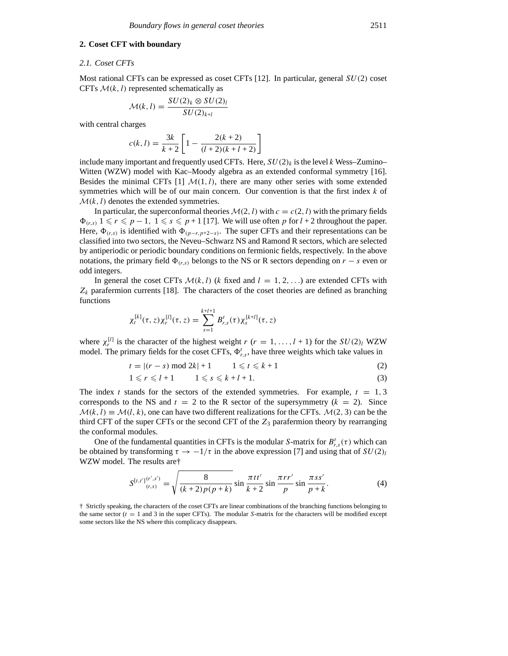# **2. Coset CFT with boundary**

#### *2.1. Coset CFTs*

Most rational CFTs can be expressed as coset CFTs [12]. In particular, general *SU(*2*)* coset CFTs  $M(k, l)$  represented schematically as

$$
\mathcal{M}(k,l) = \frac{SU(2)_k \otimes SU(2)_l}{SU(2)_{k+l}}
$$

with central charges

$$
c(k, l) = \frac{3k}{k+2} \left[ 1 - \frac{2(k+2)}{(l+2)(k+l+2)} \right]
$$

include many important and frequently used CFTs. Here,  $SU(2)_k$  is the level *k* Wess–Zumino– Witten (WZW) model with Kac–Moody algebra as an extended conformal symmetry [16]. Besides the minimal CFTs  $[1]$   $M(1, l)$ , there are many other series with some extended symmetries which will be of our main concern. Our convention is that the first index *k* of  $M(k, l)$  denotes the extended symmetries.

In particular, the superconformal theories  $\mathcal{M}(2, l)$  with  $c = c(2, l)$  with the primary fields  $\Phi_{(r,s)}$  1  $\leq r \leq p-1$ , 1  $\leq s \leq p+1$  [17]. We will use often *p* for *l* + 2 throughout the paper. Here,  $\Phi_{(r,s)}$  is identified with  $\Phi_{(p-r,p+2-s)}$ . The super CFTs and their representations can be classified into two sectors, the Neveu–Schwarz NS and Ramond R sectors, which are selected by antiperiodic or periodic boundary conditions on fermionic fields, respectively. In the above notations, the primary field  $\Phi_{(r,s)}$  belongs to the NS or R sectors depending on  $r - s$  even or odd integers.

In general the coset CFTs  $\mathcal{M}(k, l)$  (*k* fixed and  $l = 1, 2, \ldots$ ) are extended CFTs with  $Z_k$  parafermion currents [18]. The characters of the coset theories are defined as branching functions

$$
\chi_t^{[k]}(\tau,z)\chi_r^{[l]}(\tau,z)=\sum_{s=1}^{k+l+1}B_{r,s}^t(\tau)\chi_s^{[k+l]}(\tau,z)
$$

where  $\chi_r^{[l]}$  is the character of the highest weight *r* (*r* = 1, ..., *l* + 1) for the *SU(2)<sub>l</sub>* WZW model. The primary fields for the coset CFTs,  $\Phi_{r,s}^t$ , have three weights which take values in

$$
t = |(r - s) \bmod 2k| + 1 \qquad 1 \leq t \leq k + 1 \tag{2}
$$

$$
1 \leqslant r \leqslant l+1 \qquad 1 \leqslant s \leqslant k+l+1. \tag{3}
$$

The index *t* stands for the sectors of the extended symmetries. For example,  $t = 1, 3$ corresponds to the NS and  $t = 2$  to the R sector of the supersymmetry  $(k = 2)$ . Since  $M(k, l) \equiv M(l, k)$ , one can have two different realizations for the CFTs.  $M(2, 3)$  can be the third CFT of the super CFTs or the second CFT of the *Z*<sup>3</sup> parafermion theory by rearranging the conformal modules.

One of the fundamental quantities in CFTs is the modular *S*-matrix for  $B_{r,s}^t(\tau)$  which can be obtained by transforming  $\tau \to -1/\tau$  in the above expression [7] and using that of  $SU(2)_l$ WZW model. The results are†

$$
S^{[t,t'](r',s')} = \sqrt{\frac{8}{(k+2)p(p+k)}} \sin \frac{\pi t t'}{k+2} \sin \frac{\pi r r'}{p} \sin \frac{\pi s s'}{p+k}.
$$
 (4)

† Strictly speaking, the characters of the coset CFTs are linear combinations of the branching functions belonging to the same sector (*t* = 1 and 3 in the super CFTs). The modular *S*-matrix for the characters will be modified except some sectors like the NS where this complicacy disappears.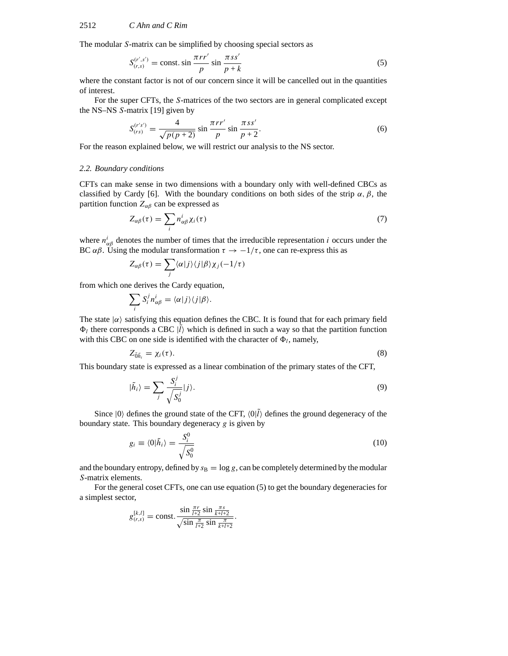The modular *S*-matrix can be simplified by choosing special sectors as

$$
S_{(r,s)}^{(r',s')} = \text{const.} \sin \frac{\pi r r'}{p} \sin \frac{\pi s s'}{p+k}
$$
 (5)

where the constant factor is not of our concern since it will be cancelled out in the quantities of interest.

For the super CFTs, the *S*-matrices of the two sectors are in general complicated except the NS–NS *S*-matrix [19] given by

$$
S_{(rs)}^{(r's')} = \frac{4}{\sqrt{p(p+2)}} \sin \frac{\pi rr'}{p} \sin \frac{\pi ss'}{p+2}.
$$
 (6)

For the reason explained below, we will restrict our analysis to the NS sector.

# *2.2. Boundary conditions*

CFTs can make sense in two dimensions with a boundary only with well-defined CBCs as classified by Cardy [6]. With the boundary conditions on both sides of the strip  $\alpha$ ,  $\beta$ , the partition function  $Z_{\alpha\beta}$  can be expressed as

$$
Z_{\alpha\beta}(\tau) = \sum_{i} n_{\alpha\beta}^{i} \chi_{i}(\tau) \tag{7}
$$

where  $n_{\alpha\beta}^i$  denotes the number of times that the irreducible representation *i* occurs under the BC  $\alpha\beta$ . Using the modular transformation  $\tau \to -1/\tau$ , one can re-express this as

$$
Z_{\alpha\beta}(\tau) = \sum_j \langle \alpha | j \rangle \langle j | \beta \rangle \chi_j(-1/\tau)
$$

from which one derives the Cardy equation,

$$
\sum_i S_i^j n_{\alpha\beta}^i = \langle \alpha | j \rangle \langle j | \beta \rangle.
$$

The state  $|\alpha\rangle$  satisfying this equation defines the CBC. It is found that for each primary field  $\Phi_l$  there corresponds a CBC  $|l\rangle$  which is defined in such a way so that the partition function with this CBC on one side is identified with the character of  $\Phi_l$ , namely,

$$
Z_{\tilde{0}\tilde{h}_i} = \chi_i(\tau). \tag{8}
$$

This boundary state is expressed as a linear combination of the primary states of the CFT,

$$
|\tilde{h}_i\rangle = \sum_j \frac{S_i^j}{\sqrt{S_0^j}} |j\rangle.
$$
\n(9)

Since  $|0\rangle$  defines the ground state of the CFT,  $\langle 0|\hat{l}\rangle$  defines the ground degeneracy of the boundary state. This boundary degeneracy *g* is given by

$$
g_i \equiv \langle 0|\tilde{h}_i \rangle = \frac{S_i^0}{\sqrt{S_0^0}}
$$
\n(10)

and the boundary entropy, defined by  $s_B = \log g$ , can be completely determined by the modular *S*-matrix elements.

For the general coset CFTs, one can use equation (5) to get the boundary degeneracies for a simplest sector,

$$
g_{(r,s)}^{[k,l]} = \text{const.} \frac{\sin \frac{\pi r}{l+2} \sin \frac{\pi s}{k+l+2}}{\sqrt{\sin \frac{\pi}{l+2} \sin \frac{\pi}{k+l+2}}}.
$$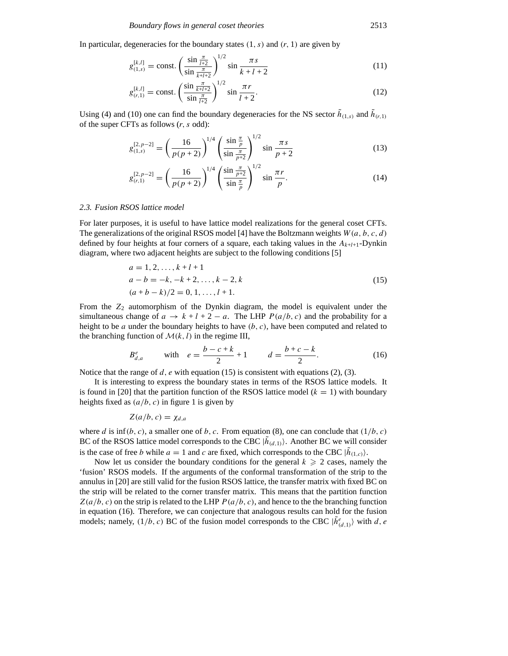In particular, degeneracies for the boundary states  $(1, s)$  and  $(r, 1)$  are given by

$$
g_{(1,s)}^{[k,l]} = \text{const.} \left(\frac{\sin \frac{\pi}{l+2}}{\sin \frac{\pi}{k+l+2}}\right)^{1/2} \sin \frac{\pi s}{k+l+2} \tag{11}
$$

$$
g_{(r,1)}^{[k,l]} = \text{const.} \left( \frac{\sin \frac{\pi}{k+l+2}}{\sin \frac{\pi}{l+2}} \right)^{1/2} \sin \frac{\pi r}{l+2}.
$$
 (12)

Using (4) and (10) one can find the boundary degeneracies for the NS sector  $\hat{h}_{(1,s)}$  and  $\hat{h}_{(r,1)}$ of the super CFTs as follows (*r, s* odd):

$$
g_{(1,s)}^{[2,p-2]} = \left(\frac{16}{p(p+2)}\right)^{1/4} \left(\frac{\sin\frac{\pi}{p}}{\sin\frac{\pi}{p+2}}\right)^{1/2} \sin\frac{\pi s}{p+2}
$$
(13)

$$
g_{(r,1)}^{[2,p-2]} = \left(\frac{16}{p(p+2)}\right)^{1/4} \left(\frac{\sin\frac{\pi}{p+2}}{\sin\frac{\pi}{p}}\right)^{1/2} \sin\frac{\pi r}{p}.\tag{14}
$$

#### *2.3. Fusion RSOS lattice model*

For later purposes, it is useful to have lattice model realizations for the general coset CFTs. The generalizations of the original RSOS model [4] have the Boltzmann weights *W (a, b, c, d)* defined by four heights at four corners of a square, each taking values in the  $A_{k+l+1}$ -Dynkin diagram, where two adjacent heights are subject to the following conditions [5]

$$
a = 1, 2, ..., k + l + 1
$$
  
\n
$$
a - b = -k, -k + 2, ..., k - 2, k
$$
  
\n
$$
(a + b - k)/2 = 0, 1, ..., l + 1.
$$
  
\n(15)

From the  $Z_2$  automorphism of the Dynkin diagram, the model is equivalent under the simultaneous change of  $a \to k + l + 2 - a$ . The LHP  $P(a/b, c)$  and the probability for a height to be *a* under the boundary heights to have *(b, c)*, have been computed and related to the branching function of  $\mathcal{M}(k, l)$  in the regime III,

$$
B_{d,a}^e \t\t \text{with} \t e = \frac{b-c+k}{2} + 1 \t d = \frac{b+c-k}{2}.
$$
 (16)

Notice that the range of *d*, *e* with equation (15) is consistent with equations (2), (3).

It is interesting to express the boundary states in terms of the RSOS lattice models. It is found in [20] that the partition function of the RSOS lattice model  $(k = 1)$  with boundary heights fixed as  $(a/b, c)$  in figure 1 is given by

$$
Z(a/b, c) = \chi_{d,a}
$$

where *d* is inf*(b, c)*, a smaller one of *b, c*. From equation (8), one can conclude that *(*1*/b, c)* BC of the RSOS lattice model corresponds to the CBC  $|h_{(d,1)}\rangle$ . Another BC we will consider is the case of free *b* while  $a = 1$  and *c* are fixed, which corresponds to the CBC  $|\tilde{h}_{(1,c)}\rangle$ .

Now let us consider the boundary conditions for the general  $k \geq 2$  cases, namely the 'fusion' RSOS models. If the arguments of the conformal transformation of the strip to the annulus in [20] are still valid for the fusion RSOS lattice, the transfer matrix with fixed BC on the strip will be related to the corner transfer matrix. This means that the partition function  $Z(a/b, c)$  on the strip is related to the LHP  $P(a/b, c)$ , and hence to the the branching function in equation (16). Therefore, we can conjecture that analogous results can hold for the fusion models; namely,  $(1/b, c)$  BC of the fusion model corresponds to the CBC  $|\tilde{h}^e_{(d,1)}\rangle$  with *d*, *e*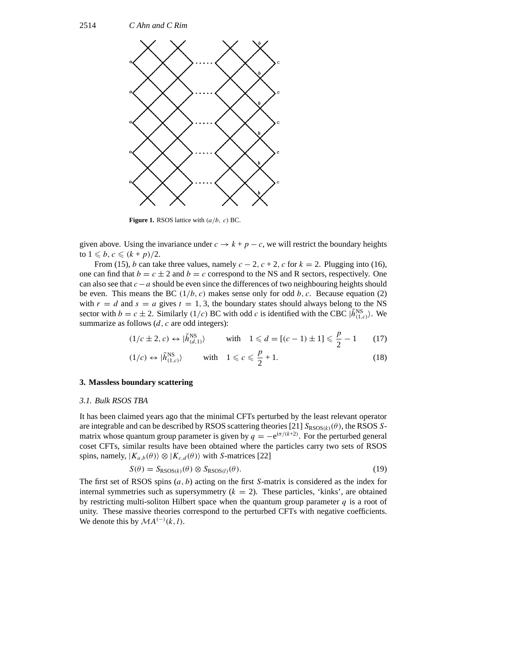

**Figure 1.** RSOS lattice with *(a/b, c)* BC.

given above. Using the invariance under  $c \rightarrow k + p - c$ , we will restrict the boundary heights to  $1 \leqslant b, c \leqslant (k+p)/2.$ 

From (15), *b* can take three values, namely  $c - 2$ ,  $c + 2$ ,  $c$  for  $k = 2$ . Plugging into (16), one can find that  $b = c \pm 2$  and  $b = c$  correspond to the NS and R sectors, respectively. One can also see that *c*−*a* should be even since the differences of two neighbouring heights should be even. This means the BC  $(1/b, c)$  makes sense only for odd b, c. Because equation (2) with  $r = d$  and  $s = a$  gives  $t = 1, 3$ , the boundary states should always belong to the NS sector with  $b = c \pm 2$ . Similarly (1/*c*) BC with odd *c* is identified with the CBC  $|\tilde{h}_{(1,c)}^{NS}\rangle$ . We summarize as follows (*d*, *c* are odd integers):

$$
(1/c \pm 2, c) \leftrightarrow |\tilde{h}_{(d,1)}^{\text{NS}}\rangle \qquad \text{with} \quad 1 \leq d = [(c-1) \pm 1] \leq \frac{p}{2} - 1 \qquad (17)
$$

$$
(1/c) \leftrightarrow |\tilde{h}_{(1,c)}^{\text{NS}}\rangle \qquad \text{with} \quad 1 \leqslant c \leqslant \frac{p}{2} + 1. \tag{18}
$$

## **3. Massless boundary scattering**

#### *3.1. Bulk RSOS TBA*

It has been claimed years ago that the minimal CFTs perturbed by the least relevant operator are integrable and can be described by RSOS scattering theories [21]  $S_{RSOS(k)}(\theta)$ , the RSOS *S*matrix whose quantum group parameter is given by  $q = -e^{i\pi/(k+2)}$ . For the perturbed general coset CFTs, similar results have been obtained where the particles carry two sets of RSOS spins, namely,  $|K_{a,b}(\theta)\rangle \otimes |K_{c,d}(\theta)\rangle$  with *S*-matrices [22]

$$
S(\theta) = S_{\text{RSOS}(k)}(\theta) \otimes S_{\text{RSOS}(l)}(\theta). \tag{19}
$$

The first set of RSOS spins (*a, b*) acting on the first *S*-matrix is considered as the index for internal symmetries such as supersymmetry  $(k = 2)$ . These particles, 'kinks', are obtained by restricting multi-soliton Hilbert space when the quantum group parameter *q* is a root of unity. These massive theories correspond to the perturbed CFTs with negative coefficients. We denote this by  $MA^{(-)}(k, l)$ .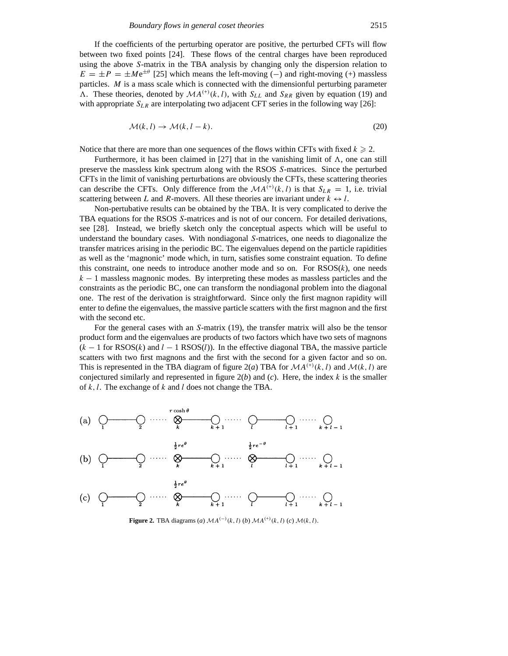If the coefficients of the perturbing operator are positive, the perturbed CFTs will flow between two fixed points [24]. These flows of the central charges have been reproduced using the above *S*-matrix in the TBA analysis by changing only the dispersion relation to  $E = \pm P = \pm Me^{\pm \theta}$  [25] which means the left-moving (−) and right-moving (+) massless particles. *M* is a mass scale which is connected with the dimensionful perturbing parameter  $\Lambda$ . These theories, denoted by  $\mathcal{M}A^{(+)}(k, l)$ , with  $S_{LL}$  and  $S_{RR}$  given by equation (19) and with appropriate  $S_{LR}$  are interpolating two adjacent CFT series in the following way [26]:

$$
\mathcal{M}(k,l) \to \mathcal{M}(k,l-k). \tag{20}
$$

Notice that there are more than one sequences of the flows within CFTs with fixed  $k \geq 2$ .

Furthermore, it has been claimed in [27] that in the vanishing limit of  $\Lambda$ , one can still preserve the massless kink spectrum along with the RSOS *S*-matrices. Since the perturbed CFTs in the limit of vanishing perturbations are obviously the CFTs, these scattering theories can describe the CFTs. Only difference from the  $MA^{(+)}(k, l)$  is that  $S_{LR} = 1$ , i.e. trivial scattering between *L* and *R*-movers. All these theories are invariant under  $k \leftrightarrow l$ .

Non-pertubative results can be obtained by the TBA. It is very complicated to derive the TBA equations for the RSOS *S*-matrices and is not of our concern. For detailed derivations, see [28]. Instead, we briefly sketch only the conceptual aspects which will be useful to understand the boundary cases. With nondiagonal *S*-matrices, one needs to diagonalize the transfer matrices arising in the periodic BC. The eigenvalues depend on the particle rapidities as well as the 'magnonic' mode which, in turn, satisfies some constraint equation. To define this constraint, one needs to introduce another mode and so on. For  $RSOS(k)$ , one needs *k* − 1 massless magnonic modes. By interpreting these modes as massless particles and the constraints as the periodic BC, one can transform the nondiagonal problem into the diagonal one. The rest of the derivation is straightforward. Since only the first magnon rapidity will enter to define the eigenvalues, the massive particle scatters with the first magnon and the first with the second etc.

For the general cases with an *S*-matrix (19), the transfer matrix will also be the tensor product form and the eigenvalues are products of two factors which have two sets of magnons (*k* − 1 for RSOS(*k*) and *l* − 1 RSOS(*l*)). In the effective diagonal TBA, the massive particle scatters with two first magnons and the first with the second for a given factor and so on. This is represented in the TBA diagram of figure 2(*a*) TBA for  $MA^{(+)}(k, l)$  and  $M(k, l)$  are conjectured similarly and represented in figure  $2(b)$  and  $(c)$ . Here, the index  $k$  is the smaller of *k,l*. The exchange of *k* and *l* does not change the TBA.



**Figure 2.** TBA diagrams (*a*)  $MA^{(-)}(k, l)$  (*b*)  $MA^{(+)}(k, l)$  (*c*)  $M(k, l)$ .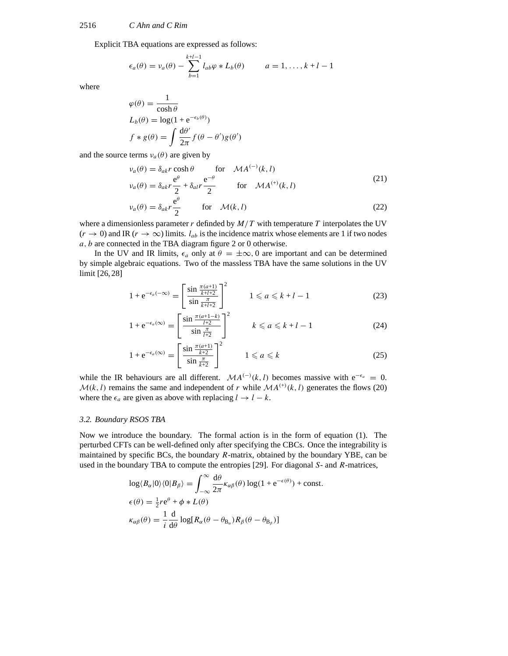Explicit TBA equations are expressed as follows:

$$
\epsilon_a(\theta) = v_a(\theta) - \sum_{b=1}^{k+l-1} l_{ab}\varphi * L_b(\theta) \qquad a = 1, \dots, k+l-1
$$

where

$$
\varphi(\theta) = \frac{1}{\cosh \theta}
$$
  
\n
$$
L_b(\theta) = \log(1 + e^{-\epsilon_b(\theta)})
$$
  
\n
$$
f * g(\theta) = \int \frac{d\theta'}{2\pi} f(\theta - \theta') g(\theta')
$$

and the source terms  $v_a(\theta)$  are given by

$$
\nu_a(\theta) = \delta_{ak} r \cosh \theta \qquad \text{for} \quad MA^{(-)}(k, l)
$$
\n
$$
\nu_a(\theta) = \delta_{ak} r \frac{e^{\theta}}{2} + \delta_{al} r \frac{e^{-\theta}}{2} \qquad \text{for} \quad MA^{(+)}(k, l)
$$
\n(21)

$$
\nu_a(\theta) = \delta_{ak} r \frac{e^{\sigma}}{2} \qquad \text{for} \quad \mathcal{M}(k, l)
$$
 (22)

where a dimensionless parameter *r* definded by *M/T* with temperature *T* interpolates the UV  $(r \to 0)$  and IR  $(r \to \infty)$  limits.  $l_{ab}$  is the incidence matrix whose elements are 1 if two nodes *a, b* are connected in the TBA diagram figure 2 or 0 otherwise.

In the UV and IR limits,  $\epsilon_a$  only at  $\theta = \pm \infty$ , 0 are important and can be determined by simple algebraic equations. Two of the massless TBA have the same solutions in the UV limit [26, 28]

$$
1 + e^{-\epsilon_a(-\infty)} = \left[\frac{\sin \frac{\pi(a+1)}{k+l+2}}{\sin \frac{\pi}{k+l+2}}\right]^2 \qquad 1 \le a \le k+l-1 \tag{23}
$$

$$
1 + e^{-\epsilon_a(\infty)} = \left[\frac{\sin \frac{\pi(a+1-k)}{l+2}}{\sin \frac{\pi}{l+2}}\right]^2 \qquad k \leq a \leq k+l-1 \tag{24}
$$

$$
1 + e^{-\epsilon_a(\infty)} = \left[\frac{\sin \frac{\pi(a+1)}{k+2}}{\sin \frac{\pi}{k+2}}\right]^2 \qquad 1 \leq a \leq k \tag{25}
$$

while the IR behaviours are all different.  $MA^{(-)}(k, l)$  becomes massive with  $e^{-\epsilon_a} = 0$ .  $M(k, l)$  remains the same and independent of *r* while  $MA^{(+)}(k, l)$  generates the flows (20) where the  $\epsilon_a$  are given as above with replacing  $l \to l - k$ .

# *3.2. Boundary RSOS TBA*

Now we introduce the boundary. The formal action is in the form of equation (1). The perturbed CFTs can be well-defined only after specifying the CBCs. Once the integrability is maintained by specific BCs, the boundary *R*-matrix, obtained by the boundary YBE, can be used in the boundary TBA to compute the entropies [29]. For diagonal *S*- and *R*-matrices,

$$
\log \langle B_{\alpha}|0\rangle \langle 0|B_{\beta}\rangle = \int_{-\infty}^{\infty} \frac{d\theta}{2\pi} \kappa_{\alpha\beta}(\theta) \log(1 + e^{-\epsilon(\theta)}) + \text{const.}
$$

$$
\epsilon(\theta) = \frac{1}{2} r e^{\theta} + \phi * L(\theta)
$$

$$
\kappa_{\alpha\beta}(\theta) = \frac{1}{i} \frac{d}{d\theta} \log[R_{\alpha}(\theta - \theta_{B_{\alpha}})R_{\beta}(\theta - \theta_{B_{\beta}})]
$$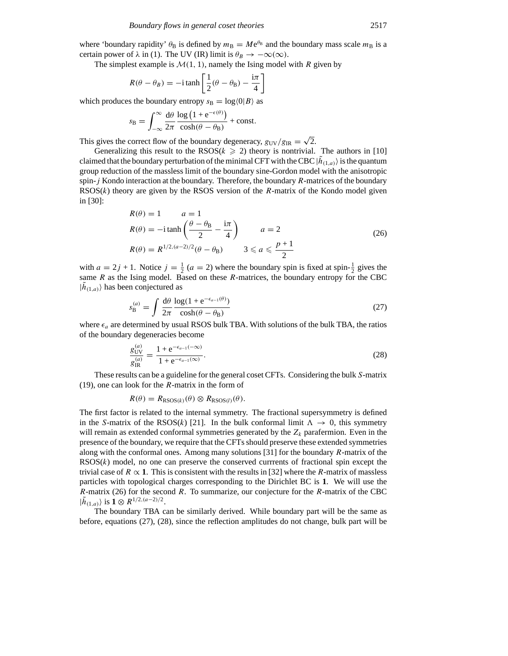where 'boundary rapidity'  $\theta_B$  is defined by  $m_B = Me^{\theta_B}$  and the boundary mass scale  $m_B$  is a certain power of  $\lambda$  in (1). The UV (IR) limit is  $\theta_B \to -\infty(\infty)$ .

The simplest example is  $M(1, 1)$ , namely the Ising model with *R* given by

$$
R(\theta - \theta_B) = -i \tanh\left[\frac{1}{2}(\theta - \theta_B) - \frac{i\pi}{4}\right]
$$

which produces the boundary entropy  $s_B = \log(0|B)$  as

$$
s_{\rm B} = \int_{-\infty}^{\infty} \frac{d\theta}{2\pi} \frac{\log (1 + e^{-\epsilon(\theta)})}{\cosh(\theta - \theta_{\rm B})} + \text{const.}
$$

This gives the correct flow of the boundary degeneracy,  $g_{UV}/g_{IR} = \sqrt{2}$ .

Generalizing this result to the  $RSOS(k \geq 2)$  theory is nontrivial. The authors in [10] claimed that the boundary perturbation of the minimal CFT with the CBC  $|\tilde{h}_{(1,a)}\rangle$  is the quantum group reduction of the massless limit of the boundary sine-Gordon model with the anisotropic spin-*j* Kondo interaction at the boundary. Therefore, the boundary *R*-matrices of the boundary RSOS(*k*) theory are given by the RSOS version of the *R*-matrix of the Kondo model given in [30]:

$$
R(\theta) = 1 \qquad a = 1
$$
  
\n
$$
R(\theta) = -i \tanh\left(\frac{\theta - \theta_B}{2} - \frac{i\pi}{4}\right) \qquad a = 2
$$
  
\n
$$
R(\theta) = R^{1/2 \cdot (a-2)/2}(\theta - \theta_B) \qquad 3 \leq a \leq \frac{p+1}{2}
$$
\n(26)

with  $a = 2j + 1$ . Notice  $j = \frac{1}{2}$   $(a = 2)$  where the boundary spin is fixed at spin- $\frac{1}{2}$  gives the same *R* as the Ising model. Based on these *R*-matrices, the boundary entropy for the CBC  $|h_{(1,a)}\rangle$  has been conjectured as

$$
s_{\rm B}^{(a)} = \int \frac{\mathrm{d}\theta}{2\pi} \frac{\log(1 + \mathrm{e}^{-\epsilon_{a-1}(\theta)})}{\cosh(\theta - \theta_{\rm B})}
$$
(27)

where  $\epsilon_a$  are determined by usual RSOS bulk TBA. With solutions of the bulk TBA, the ratios of the boundary degeneracies become

$$
\frac{g_{\rm UV}^{(a)}}{g_{\rm IR}^{(a)}} = \frac{1 + e^{-\epsilon_{a-1}(-\infty)}}{1 + e^{-\epsilon_{a-1}(\infty)}}.
$$
\n(28)

These results can be a guideline for the general coset CFTs. Considering the bulk *S*-matrix (19), one can look for the *R*-matrix in the form of

$$
R(\theta) = R_{\text{RSOS}(k)}(\theta) \otimes R_{\text{RSOS}(l)}(\theta).
$$

The first factor is related to the internal symmetry. The fractional supersymmetry is defined in the *S*-matrix of the RSOS(*k*) [21]. In the bulk conformal limit  $\Lambda \rightarrow 0$ , this symmetry will remain as extended conformal symmetries generated by the  $Z_k$  parafermion. Even in the presence of the boundary, we require that the CFTs should preserve these extended symmetries along with the conformal ones. Among many solutions [31] for the boundary *R*-matrix of the RSOS(*k*) model, no one can preserve the conserved currrents of fractional spin except the trivial case of  $R \propto 1$ . This is consistent with the results in [32] where the *R*-matrix of massless particles with topological charges corresponding to the Dirichlet BC is **1**. We will use the *R*-matrix (26) for the second *R*. To summarize, our conjecture for the *R*-matrix of the CBC  $|\tilde{h}_{(1,a)}\rangle$  is **1** ⊗  $R^{1/2,(a-2)/2}$ .

The boundary TBA can be similarly derived. While boundary part will be the same as before, equations (27), (28), since the reflection amplitudes do not change, bulk part will be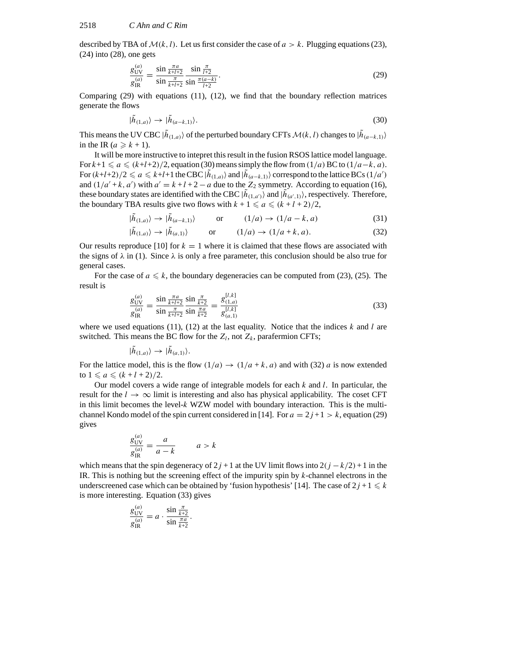described by TBA of  $\mathcal{M}(k, l)$ . Let us first consider the case of  $a > k$ . Plugging equations (23), (24) into (28), one gets

$$
\frac{g_{\text{UV}}^{(a)}}{g_{\text{IR}}^{(a)}} = \frac{\sin\frac{\pi a}{k+l+2}}{\sin\frac{\pi}{k+l+2}} \frac{\sin\frac{\pi}{l+2}}{\sin\frac{\pi(a-k)}{l+2}}.
$$
\n(29)

Comparing (29) with equations (11), (12), we find that the boundary reflection matrices generate the flows

$$
|\tilde{h}_{(1,a)}\rangle \to |\tilde{h}_{(a-k,1)}\rangle. \tag{30}
$$

This means the UV CBC  $|\tilde{h}_{(1,a)}\rangle$  of the perturbed boundary CFTs  $\mathcal{M}(k, l)$  changes to  $|\tilde{h}_{(a-k,1)}\rangle$ in the IR ( $a \ge k + 1$ ).

It will be more instructive to intepret this result in the fusion RSOS lattice model language. For  $k+1 \le a \le (k+l+2)/2$ , equation (30) means simply the flow from  $(1/a)$  BC to  $(1/a-k, a)$ . For  $(k+l+2)/2 \le a \le k+l+1$  the CBC  $|h_{(1,a)}\rangle$  and  $|h_{(a-k,1)}\rangle$  correspond to the lattice BCs  $(1/a')$ and  $(1/a' + k, a')$  with  $a' = k + l + 2 - a$  due to the  $Z_2$  symmetry. According to equation (16), these boundary states are identified with the CBC  $|h_{(1,a')} \rangle$  and  $|h_{(a',1)} \rangle$ , respectively. Therefore, the boundary TBA results give two flows with  $k + 1 \le a \le (k + l + 2)/2$ ,

$$
|\tilde{h}_{(1,a)}\rangle \to |\tilde{h}_{(a-k,1)}\rangle \qquad \text{or} \qquad (1/a) \to (1/a - k, a) \tag{31}
$$

$$
|\tilde{h}_{(1,a)}\rangle \to |\tilde{h}_{(a,1)}\rangle \qquad \text{or} \qquad (1/a) \to (1/a + k, a). \tag{32}
$$

Our results reproduce [10] for  $k = 1$  where it is claimed that these flows are associated with the signs of  $\lambda$  in (1). Since  $\lambda$  is only a free parameter, this conclusion should be also true for general cases.

For the case of  $a \le k$ , the boundary degeneracies can be computed from (23), (25). The result is

$$
\frac{g_{\text{UV}}^{(a)}}{g_{\text{IR}}^{(a)}} = \frac{\sin\frac{\pi a}{k+l+2}}{\sin\frac{\pi}{k+l+2}} \frac{\sin\frac{\pi}{k+2}}{\sin\frac{\pi a}{k+2}} = \frac{g_{(1,a)}^{[l,k]}}{g_{(a,1)}^{[l,k]}}
$$
(33)

where we used equations  $(11)$ ,  $(12)$  at the last equality. Notice that the indices *k* and *l* are switched. This means the BC flow for the  $Z_l$ , not  $Z_k$ , parafermion CFTs;

$$
|\tilde{h}_{(1,a)}\rangle \rightarrow |\tilde{h}_{(a,1)}\rangle.
$$

For the lattice model, this is the flow  $(1/a) \rightarrow (1/a + k, a)$  and with (32) *a* is now extended to  $1 \le a \le (k+l+2)/2$ .

Our model covers a wide range of integrable models for each *k* and *l*. In particular, the result for the  $l \rightarrow \infty$  limit is interesting and also has physical applicability. The coset CFT in this limit becomes the level-*k* WZW model with boundary interaction. This is the multichannel Kondo model of the spin current considered in [14]. For  $a = 2j + 1 > k$ , equation (29) gives

$$
\frac{g_{\text{UV}}^{(a)}}{g_{\text{IR}}^{(a)}} = \frac{a}{a - k} \qquad a > k
$$

which means that the spin degeneracy of  $2j + 1$  at the UV limit flows into  $2(j - k/2) + 1$  in the IR. This is nothing but the screening effect of the impurity spin by *k*-channel electrons in the underscreened case which can be obtained by 'fusion hypothesis' [14]. The case of  $2j + 1 \leq k$ is more interesting. Equation (33) gives

$$
\frac{g_{\text{UV}}^{(a)}}{g_{\text{IR}}^{(a)}} = a \cdot \frac{\sin \frac{\pi}{k+2}}{\sin \frac{\pi a}{k+2}}.
$$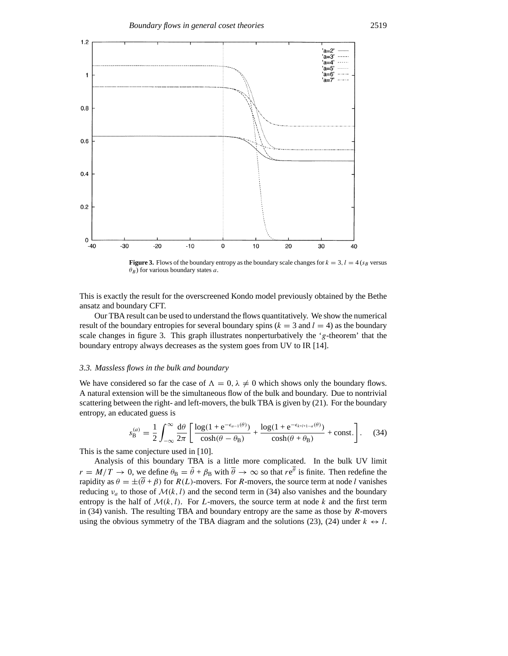

**Figure 3.** Flows of the boundary entropy as the boundary scale changes for  $k = 3$ ,  $l = 4$  ( $s_B$  versus *θB*) for various boundary states *a*.

This is exactly the result for the overscreened Kondo model previously obtained by the Bethe ansatz and boundary CFT.

Our TBA result can be used to understand the flows quantitatively. We show the numerical result of the boundary entropies for several boundary spins  $(k = 3$  and  $l = 4)$  as the boundary scale changes in figure 3. This graph illustrates nonperturbatively the '*g*-theorem' that the boundary entropy always decreases as the system goes from UV to IR [14].

# *3.3. Massless flows in the bulk and boundary*

We have considered so far the case of  $\Lambda = 0$ ,  $\lambda \neq 0$  which shows only the boundary flows. A natural extension will be the simultaneous flow of the bulk and boundary. Due to nontrivial scattering between the right- and left-movers, the bulk TBA is given by (21). For the boundary entropy, an educated guess is

$$
s_{\mathbf{B}}^{(a)} = \frac{1}{2} \int_{-\infty}^{\infty} \frac{d\theta}{2\pi} \left[ \frac{\log(1 + e^{-\epsilon_{a-1}(\theta)})}{\cosh(\theta - \theta_{\mathbf{B}})} + \frac{\log(1 + e^{-\epsilon_{k+l-1-a}(\theta)})}{\cosh(\theta + \theta_{\mathbf{B}})} + \text{const.} \right]. \tag{34}
$$

This is the same conjecture used in [10].

Analysis of this boundary TBA is a little more complicated. In the bulk UV limit  $r = M/T \to 0$ , we define  $\theta_B = \bar{\theta} + \beta_B$  with  $\bar{\theta} \to \infty$  so that  $re^{\bar{\theta}}$  is finite. Then redefine the rapidity as  $\theta = \pm(\bar{\theta} + \beta)$  for  $R(L)$ -movers. For *R*-movers, the source term at node *l* vanishes reducing  $v_a$  to those of  $\mathcal{M}(k, l)$  and the second term in (34) also vanishes and the boundary entropy is the half of  $\mathcal{M}(k, l)$ . For *L*-movers, the source term at node *k* and the first term in (34) vanish. The resulting TBA and boundary entropy are the same as those by *R*-movers using the obvious symmetry of the TBA diagram and the solutions (23), (24) under  $k \leftrightarrow l$ .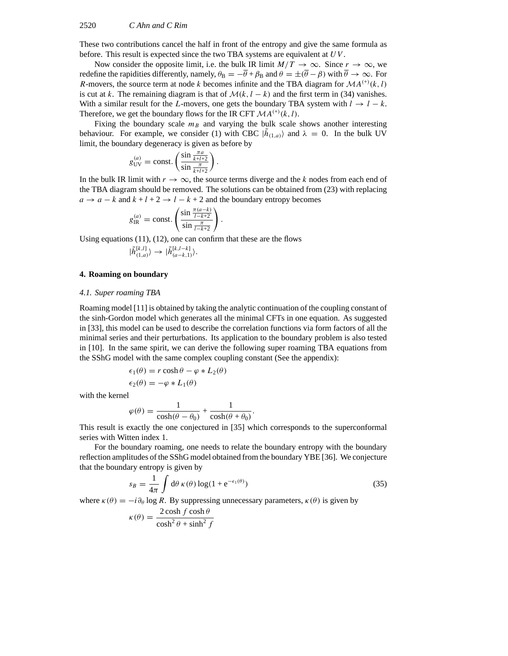#### 2520 *C Ahn and C Rim*

These two contributions cancel the half in front of the entropy and give the same formula as before. This result is expected since the two TBA systems are equivalent at *UV* .

Now consider the opposite limit, i.e. the bulk IR limit  $M/T \to \infty$ . Since  $r \to \infty$ , we redefine the rapidities differently, namely,  $\theta_B = -\overline{\theta} + \beta_B$  and  $\theta = \pm(\overline{\theta} - \beta)$  with  $\overline{\theta} \to \infty$ . For *R*-movers, the source term at node *k* becomes infinite and the TBA diagram for  $MA^{(+)}(k, l)$ is cut at *k*. The remaining diagram is that of  $M(k, l - k)$  and the first term in (34) vanishes. With a similar result for the *L*-movers, one gets the boundary TBA system with  $l \rightarrow l - k$ . Therefore, we get the boundary flows for the IR CFT  $MA^{(+)}(k, l)$ .

Fixing the boundary scale  $m_B$  and varying the bulk scale shows another interesting behaviour. For example, we consider (1) with CBC  $|\tilde{h}_{(1,a)}\rangle$  and  $\lambda = 0$ . In the bulk UV limit, the boundary degeneracy is given as before by

$$
g_{\mathrm{UV}}^{(a)} = \mathrm{const.}\left(\frac{\sin \frac{\pi a}{k+l+2}}{\sin \frac{\pi}{k+l+2}}\right).
$$

In the bulk IR limit with  $r \to \infty$ , the source terms diverge and the k nodes from each end of the TBA diagram should be removed. The solutions can be obtained from (23) with replacing  $a \rightarrow a - k$  and  $k + l + 2 \rightarrow l - k + 2$  and the boundary entropy becomes

*.*

$$
g_{\text{IR}}^{(a)} = \text{const.}\left(\frac{\sin\frac{\pi(a-k)}{l-k+2}}{\sin\frac{\pi}{l-k+2}}\right)
$$

Using equations (11), (12), one can confirm that these are the flows

$$
|\widetilde{h}_{(1,a)}^{[k,l]}\rangle\rightarrow|\widetilde{h}_{(a-k,1)}^{[k,l-k]}\rangle.
$$

#### **4. Roaming on boundary**

#### *4.1. Super roaming TBA*

Roaming model [11] is obtained by taking the analytic continuation of the coupling constant of the sinh-Gordon model which generates all the minimal CFTs in one equation. As suggested in [33], this model can be used to describe the correlation functions via form factors of all the minimal series and their perturbations. Its application to the boundary problem is also tested in [10]. In the same spirit, we can derive the following super roaming TBA equations from the SShG model with the same complex coupling constant (See the appendix):

$$
\epsilon_1(\theta) = r \cosh \theta - \varphi * L_2(\theta)
$$
  

$$
\epsilon_2(\theta) = -\varphi * L_1(\theta)
$$

with the kernel

$$
\varphi(\theta) = \frac{1}{\cosh(\theta - \theta_0)} + \frac{1}{\cosh(\theta + \theta_0)}.
$$

This result is exactly the one conjectured in [35] which corresponds to the superconformal series with Witten index 1.

For the boundary roaming, one needs to relate the boundary entropy with the boundary reflection amplitudes of the SShG model obtained from the boundary YBE [36]. We conjecture that the boundary entropy is given by

$$
s_B = \frac{1}{4\pi} \int d\theta \,\kappa(\theta) \log(1 + e^{-\epsilon_1(\theta)}) \tag{35}
$$

where  $\kappa(\theta) = -i\partial_{\theta} \log R$ . By suppressing unnecessary parameters,  $\kappa(\theta)$  is given by

$$
\kappa(\theta) = \frac{2\cosh f \cosh \theta}{\cosh^2 \theta + \sinh^2 f}
$$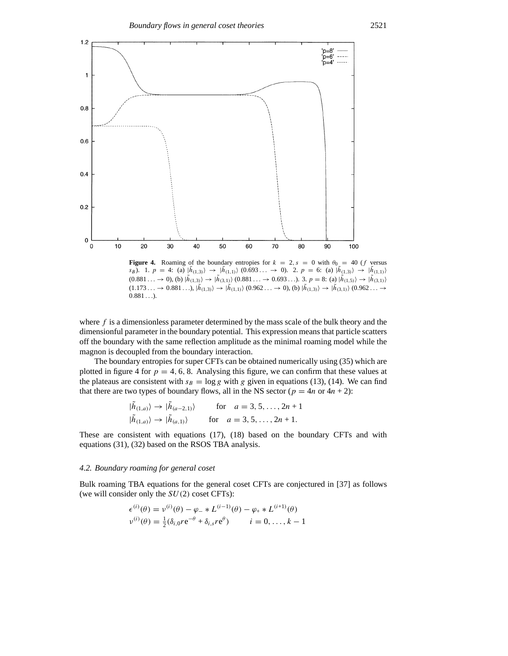

**Figure 4.** Roaming of the boundary entropies for  $k = 2$ ,  $s = 0$  with  $\theta_0 = 40$  (*f* versus  $s_B$ ). 1.  $p = 4$ : (a)  $|\tilde{h}_{(1,3)}\rangle \rightarrow |\tilde{h}_{(1,1)}\rangle$  (0.693...  $\rightarrow$  0). 2.  $p = 6$ : (a)  $|\tilde{h}_{(1,3)}\rangle \rightarrow |\tilde{h}_{(1,1)}\rangle$  $(0.881... \rightarrow 0)$ , (b)  $|\tilde{h}_{(1,3)}\rangle \rightarrow |\tilde{h}_{(3,1)}\rangle$   $(0.881... \rightarrow 0.693...)$ . 3.  $p = 8$ : (a)  $|\tilde{h}_{(1,5)}\rangle \rightarrow |\tilde{h}_{(3,1)}\rangle$  $(1.173... \rightarrow 0.881...)$ ,  $|\tilde{h}_{(1,3)}\rangle \rightarrow |\tilde{h}_{(1,1)}\rangle (0.962... \rightarrow 0)$ , (b)  $|\tilde{h}_{(1,3)}\rangle \rightarrow |\tilde{h}_{(3,1)}\rangle (0.962... \rightarrow 0)$ 0*.*881 *...*).

where  $f$  is a dimensionless parameter determined by the mass scale of the bulk theory and the dimensionful parameter in the boundary potential. This expression means that particle scatters off the boundary with the same reflection amplitude as the minimal roaming model while the magnon is decoupled from the boundary interaction.

The boundary entropies for super CFTs can be obtained numerically using (35) which are plotted in figure 4 for  $p = 4, 6, 8$ . Analysing this figure, we can confirm that these values at the plateaus are consistent with  $s_B = \log g$  with g given in equations (13), (14). We can find that there are two types of boundary flows, all in the NS sector ( $p = 4n$  or  $4n + 2$ ):

$$
|\tilde{h}_{(1,a)}\rangle \rightarrow |\tilde{h}_{(a-2,1)}\rangle \quad \text{for} \quad a = 3, 5, \dots, 2n+1
$$
  

$$
|\tilde{h}_{(1,a)}\rangle \rightarrow |\tilde{h}_{(a,1)}\rangle \quad \text{for} \quad a = 3, 5, \dots, 2n+1.
$$

These are consistent with equations (17), (18) based on the boundary CFTs and with equations (31), (32) based on the RSOS TBA analysis.

# *4.2. Boundary roaming for general coset*

Bulk roaming TBA equations for the general coset CFTs are conjectured in [37] as follows (we will consider only the *SU(*2*)* coset CFTs):

$$
\epsilon^{(i)}(\theta) = \nu^{(i)}(\theta) - \varphi_{-} * L^{(i-1)}(\theta) - \varphi_{+} * L^{(i+1)}(\theta) \n\nu^{(i)}(\theta) = \frac{1}{2} (\delta_{i,0} r e^{-\theta} + \delta_{i,s} r e^{\theta}) \qquad i = 0, \dots, k - 1
$$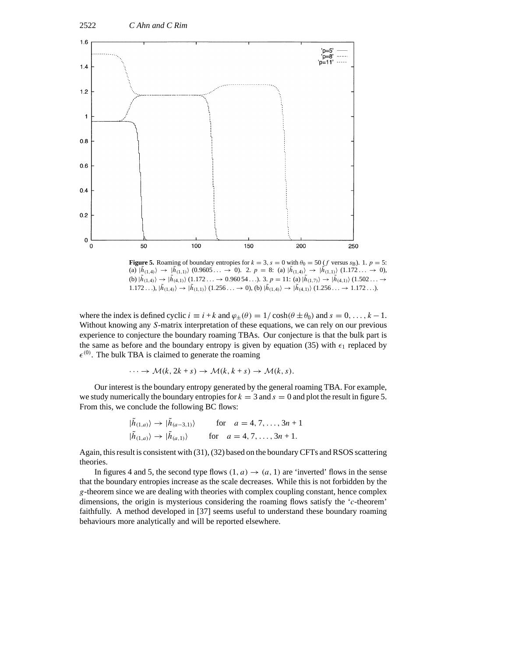

**Figure 5.** Roaming of boundary entropies for  $k = 3$ ,  $s = 0$  with  $\theta_0 = 50$  (*f* versus  $s_B$ ). 1.  $p = 5$ : (a)  $|h_{(1,4)}\rangle \rightarrow |h_{(1,1)}\rangle$  (0.9605...  $\rightarrow$  0). 2.  $p = 8$ : (a)  $|h_{(1,4)}\rangle \rightarrow |h_{(1,1)}\rangle$  (1.172...  $\rightarrow$  0), (b)  $|\tilde{h}_{(1,4)}\rangle \to |\tilde{h}_{(4,1)}\rangle$  (1.172...  $\to 0.96054$ ...). 3.  $p = 11$ : (a)  $|\tilde{h}_{(1,7)}\rangle \to |\tilde{h}_{(4,1)}\rangle$  (1.502...  $\to$ 1.172...),  $|\tilde{h}_{(1,4)}\rangle \rightarrow |\tilde{h}_{(1,1)}\rangle$  (1.256...  $\rightarrow$  0), (b)  $|\tilde{h}_{(1,4)}\rangle \rightarrow |\tilde{h}_{(4,1)}\rangle$  (1.256...  $\rightarrow$  1.172...).

where the index is defined cyclic  $i \equiv i + k$  and  $\varphi_{\pm}(\theta) = 1/\cosh(\theta \pm \theta_0)$  and  $s = 0, \ldots, k - 1$ . Without knowing any *S*-matrix interpretation of these equations, we can rely on our previous experience to conjecture the boundary roaming TBAs. Our conjecture is that the bulk part is the same as before and the boundary entropy is given by equation (35) with  $\epsilon_1$  replaced by  $\epsilon^{(0)}$ . The bulk TBA is claimed to generate the roaming

$$
\cdots \to \mathcal{M}(k, 2k+s) \to \mathcal{M}(k, k+s) \to \mathcal{M}(k, s).
$$

Our interest is the boundary entropy generated by the general roaming TBA. For example, we study numerically the boundary entropies for  $k = 3$  and  $s = 0$  and plot the result in figure 5. From this, we conclude the following BC flows:

$$
|\tilde{h}_{(1,a)}\rangle \rightarrow |\tilde{h}_{(a-3,1)}\rangle \quad \text{for} \quad a = 4, 7, \dots, 3n+1
$$
  

$$
|\tilde{h}_{(1,a)}\rangle \rightarrow |\tilde{h}_{(a,1)}\rangle \quad \text{for} \quad a = 4, 7, \dots, 3n+1.
$$

Again, this result is consistent with (31), (32) based on the boundary CFTs and RSOS scattering theories.

In figures 4 and 5, the second type flows  $(1, a) \rightarrow (a, 1)$  are 'inverted' flows in the sense that the boundary entropies increase as the scale decreases. While this is not forbidden by the *g*-theorem since we are dealing with theories with complex coupling constant, hence complex dimensions, the origin is mysterious considering the roaming flows satisfy the '*c*-theorem' faithfully. A method developed in [37] seems useful to understand these boundary roaming behaviours more analytically and will be reported elsewhere.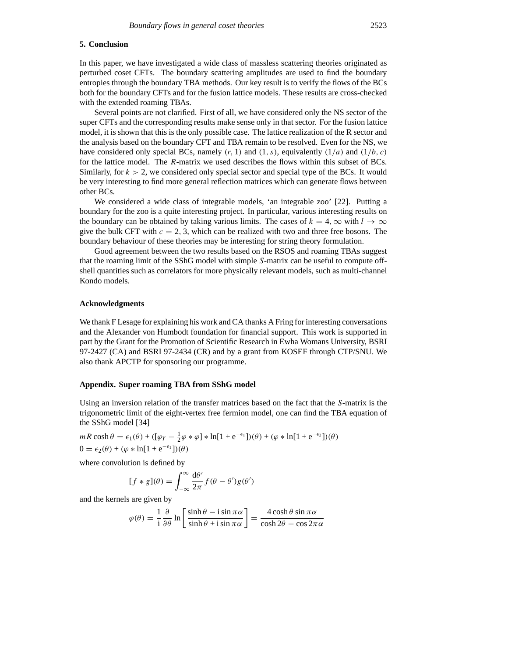## **5. Conclusion**

In this paper, we have investigated a wide class of massless scattering theories originated as perturbed coset CFTs. The boundary scattering amplitudes are used to find the boundary entropies through the boundary TBA methods. Our key result is to verify the flows of the BCs both for the boundary CFTs and for the fusion lattice models. These results are cross-checked with the extended roaming TBAs.

Several points are not clarified. First of all, we have considered only the NS sector of the super CFTs and the corresponding results make sense only in that sector. For the fusion lattice model, it is shown that this is the only possible case. The lattice realization of the R sector and the analysis based on the boundary CFT and TBA remain to be resolved. Even for the NS, we have considered only special BCs, namely  $(r, 1)$  and  $(1, s)$ , equivalently  $(1/a)$  and  $(1/b, c)$ for the lattice model. The *R*-matrix we used describes the flows within this subset of BCs. Similarly, for  $k > 2$ , we considered only special sector and special type of the BCs. It would be very interesting to find more general reflection matrices which can generate flows between other BCs.

We considered a wide class of integrable models, 'an integrable zoo' [22]. Putting a boundary for the zoo is a quite interesting project. In particular, various interesting results on the boundary can be obtained by taking various limits. The cases of  $k = 4$ ,  $\infty$  with  $l \to \infty$ give the bulk CFT with  $c = 2, 3$ , which can be realized with two and three free bosons. The boundary behaviour of these theories may be interesting for string theory formulation.

Good agreement between the two results based on the RSOS and roaming TBAs suggest that the roaming limit of the SShG model with simple *S*-matrix can be useful to compute offshell quantities such as correlators for more physically relevant models, such as multi-channel Kondo models.

#### **Acknowledgments**

We thank F Lesage for explaining his work and CA thanks A Fring for interesting conversations and the Alexander von Humbodt foundation for financial support. This work is supported in part by the Grant for the Promotion of Scientific Research in Ewha Womans University, BSRI 97-2427 (CA) and BSRI 97-2434 (CR) and by a grant from KOSEF through CTP/SNU. We also thank APCTP for sponsoring our programme.

#### **Appendix. Super roaming TBA from SShG model**

Using an inversion relation of the transfer matrices based on the fact that the *S*-matrix is the trigonometric limit of the eight-vertex free fermion model, one can find the TBA equation of the SShG model [34]

$$
mR \cosh \theta = \epsilon_1(\theta) + ([\varphi_Y - \frac{1}{2}\varphi * \varphi] * \ln[1 + e^{-\epsilon_1}]) (\theta) + (\varphi * \ln[1 + e^{-\epsilon_2}]) (\theta)
$$
  
0 =  $\epsilon_2(\theta) + (\varphi * \ln[1 + e^{-\epsilon_1}]) (\theta)$ 

where convolution is defined by

$$
[f * g](\theta) = \int_{-\infty}^{\infty} \frac{d\theta'}{2\pi} f(\theta - \theta') g(\theta')
$$

and the kernels are given by

$$
\varphi(\theta) = \frac{1}{i} \frac{\partial}{\partial \theta} \ln \left[ \frac{\sinh \theta - i \sin \pi \alpha}{\sinh \theta + i \sin \pi \alpha} \right] = \frac{4 \cosh \theta \sin \pi \alpha}{\cosh 2\theta - \cos 2\pi \alpha}
$$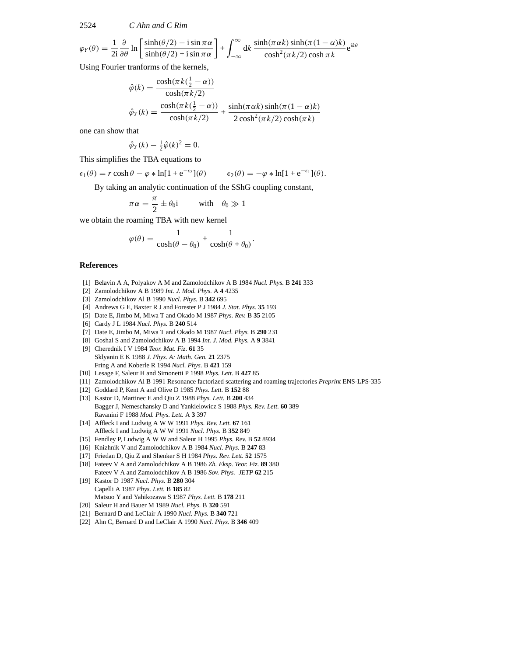2524 *C Ahn and C Rim*

$$
\varphi_Y(\theta) = \frac{1}{2i} \frac{\partial}{\partial \theta} \ln \left[ \frac{\sinh(\theta/2) - i \sin \pi \alpha}{\sinh(\theta/2) + i \sin \pi \alpha} \right] + \int_{-\infty}^{\infty} dk \, \frac{\sinh(\pi \alpha k) \sinh(\pi (1 - \alpha) k)}{\cosh^2(\pi k/2) \cosh \pi k} e^{ik\theta}
$$

Using Fourier tranforms of the kernels,

$$
\hat{\varphi}(k) = \frac{\cosh(\pi k(\frac{1}{2} - \alpha))}{\cosh(\pi k/2)}
$$

$$
\hat{\varphi}_Y(k) = \frac{\cosh(\pi k(\frac{1}{2} - \alpha))}{\cosh(\pi k/2)} + \frac{\sinh(\pi \alpha k)\sinh(\pi (1 - \alpha)k)}{2\cosh^2(\pi k/2)\cosh(\pi k)}
$$

one can show that

$$
\hat{\varphi}_Y(k) - \frac{1}{2}\hat{\varphi}(k)^2 = 0.
$$

This simplifies the TBA equations to

 $\epsilon_1(\theta) = r \cosh \theta - \varphi * \ln[1 + e^{-\epsilon_2}](\theta)$   $\epsilon_2(\theta) = -\varphi * \ln[1 + e^{-\epsilon_1}](\theta).$ 

By taking an analytic continuation of the SShG coupling constant,

$$
\pi\alpha = \frac{\pi}{2} \pm \theta_0 i \quad \text{with} \quad \theta_0 \gg 1
$$

we obtain the roaming TBA with new kernel

$$
\varphi(\theta) = \frac{1}{\cosh(\theta - \theta_0)} + \frac{1}{\cosh(\theta + \theta_0)}.
$$

# **References**

- [1] Belavin A A, Polyakov A M and Zamolodchikov A B 1984 *Nucl. Phys.* B **241** 333
- [2] Zamolodchikov A B 1989 *Int. J. Mod. Phys.* A **4** 4235
- [3] Zamolodchikov Al B 1990 *Nucl. Phys.* B **342** 695
- [4] Andrews G E, Baxter R J and Forester P J 1984 *J. Stat. Phys.* **35** 193
- [5] Date E, Jimbo M, Miwa T and Okado M 1987 *Phys. Rev.* B **35** 2105
- [6] Cardy J L 1984 *Nucl. Phys.* B **240** 514
- [7] Date E, Jimbo M, Miwa T and Okado M 1987 *Nucl. Phys.* B **290** 231
- [8] Goshal S and Zamolodchikov A B 1994 *Int. J. Mod. Phys.* A **9** 3841
- [9] Cherednik I V 1984 *Teor. Mat. Fiz.* **61** 35 Sklyanin E K 1988 *J. Phys. A: Math. Gen.* **21** 2375 Fring A and Koberle R 1994 *Nucl. Phys.* B **421** 159
- [10] Lesage F, Saleur H and Simonetti P 1998 *Phys. Lett.* B **427** 85
- [11] Zamolodchikov Al B 1991 Resonance factorized scattering and roaming trajectories *Preprint* ENS-LPS-335
- [12] Goddard P, Kent A and Olive D 1985 *Phys. Lett.* B **152** 88
- [13] Kastor D, Martinec E and Qiu Z 1988 *Phys. Lett.* B **200** 434 Bagger J, Nemeschansky D and Yankielowicz S 1988 *Phys. Rev. Lett.* **60** 389 Ravanini F 1988 *Mod. Phys. Lett.* A **3** 397
- [14] Affleck I and LudwigAWW 1991 *Phys. Rev. Lett.* **67** 161 Affleck I and LudwigAWW 1991 *Nucl. Phys.* B **352** 849
- [15] Fendley P, Ludwig A W W and Saleur H 1995 *Phys. Rev.* B **52** 8934
- [16] Knizhnik V and Zamolodchikov A B 1984 *Nucl. Phys.* B **247** 83
- [17] Friedan D, Qiu Z and Shenker S H 1984 *Phys. Rev. Lett.* **52** 1575
- [18] Fateev V A and Zamolodchikov A B 1986 *Zh. Eksp. Teor. Fiz.* **89** 380 Fateev V A and Zamolodchikov A B 1986 *Sov. Phys.–JETP* **62** 215
- [19] Kastor D 1987 *Nucl. Phys.* B **280** 304 Capelli A 1987 *Phys. Lett.* B **185** 82 Matsuo Y and Yahikozawa S 1987 *Phys. Lett.* B **178** 211
- [20] Saleur H and Bauer M 1989 *Nucl. Phys.* B **320** 591
- [21] Bernard D and LeClair A 1990 *Nucl. Phys.* B **340** 721
- [22] Ahn C, Bernard D and LeClair A 1990 *Nucl. Phys.* B **346** 409